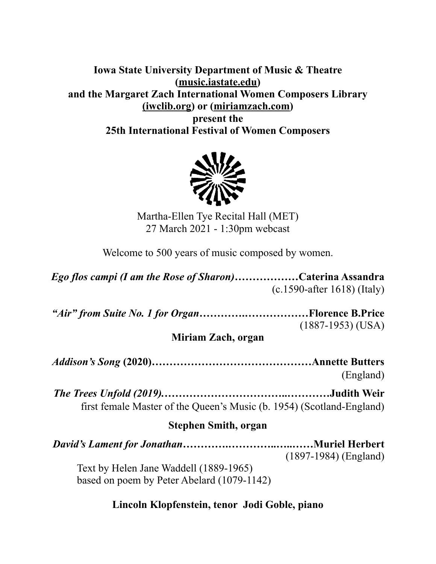**Iowa State University Department of Music & Theatre [\(music.iastate.edu\)](http://music.iastate.edu) and the Margaret Zach International Women Composers Library ([iwclib.org\)](http://iwclib.org) or [\(miriamzach.com](http://miriamzach.com)) present the 25th International Festival of Women Composers** 



Martha-Ellen Tye Recital Hall (MET) 27 March 2021 - 1:30pm webcast

Welcome to 500 years of music composed by women.

*Ego flos campi (I am the Rose of Sharon)………………***Caterina Assandra**  (c.1590-after 1618) (Italy)

*"Air" from Suite No. 1 for Organ***………….………………Florence B.Price**  (1887-1953) (USA)

**Miriam Zach, organ** 

*Addison's Song* **(2020)………………………………………Annette Butters**  (England)

*The Trees Unfold (2019).***……………………………..…………Judith Weir**  first female Master of the Queen's Music (b. 1954) (Scotland-England)

### **Stephen Smith, organ**

*David's Lament for Jonathan………***….…………..…..……Muriel Herbert**  (1897-1984) (England) Text by Helen Jane Waddell (1889-1965) based on poem by Peter Abelard (1079-1142)

### **Lincoln Klopfenstein, tenor Jodi Goble, piano**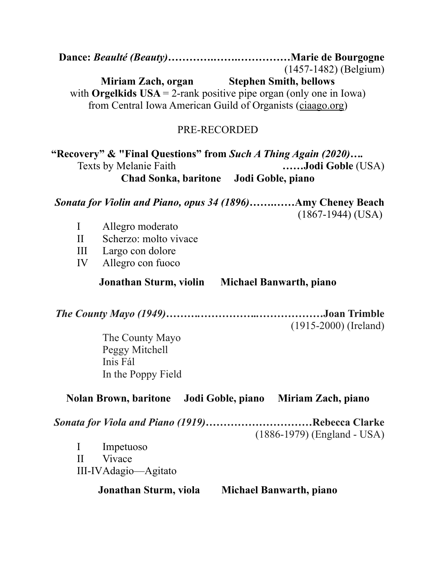**Dance:** *Beaulté (Beauty)***………….…….……………Marie de Bourgogne**  (1457-1482) (Belgium) **Miriam Zach, organ** Stephen Smith, bellows with **Orgelkids**  $USA = 2-rank positive pipe organ (only one in Iowa)$ from Central Iowa American Guild of Organists ([ciaago.org](http://ciaago.org)) PRE-RECORDED **"Recovery" & "Final Questions" from** *Such A Thing Again (2020)….*  Texts by Melanie Faith **……Jodi Goble** (USA) **Chad Sonka, baritone Jodi Goble, piano**  *Sonata for Violin and Piano, opus 34 (1896)***…….……Amy Cheney Beach**  (1867-1944) (USA) I Allegro moderato II Scherzo: molto vivace III Largo con dolore IV Allegro con fuoco **Jonathan Sturm, violin Michael Banwarth, piano**  *The County Mayo (1949)……….……………..………………***Joan Trimble**  (1915-2000) (Ireland) The County Mayo Peggy Mitchell Inis Fál In the Poppy Field **Nolan Brown, baritone Jodi Goble, piano Miriam Zach, piano**  *Sonata for Viola and Piano (1919)***…………………………Rebecca Clarke**  (1886-1979) (England - USA) I Impetuoso II Vivace III-IV Adagio—Agitato **Jonathan Sturm, viola Michael Banwarth, piano**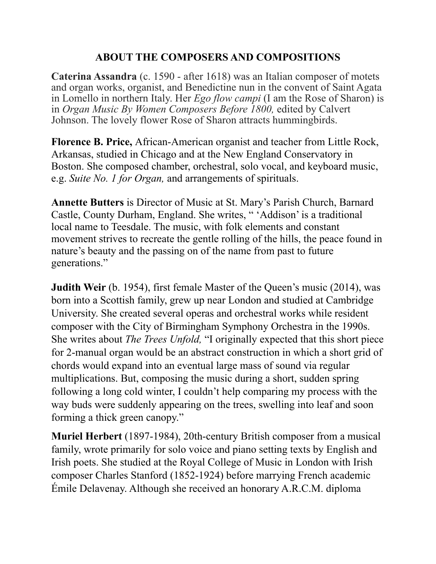### **ABOUT THE COMPOSERS AND COMPOSITIONS**

**Caterina Assandra** (c. 1590 - after 1618) was an Italian composer of motets and organ works, organist, and Benedictine nun in the convent of Saint Agata in Lomello in northern Italy. Her *Ego flow campi* (I am the Rose of Sharon) is in *Organ Music By Women Composers Before 1800,* edited by Calvert Johnson. The lovely flower Rose of Sharon attracts hummingbirds.

**Florence B. Price,** African-American organist and teacher from Little Rock, Arkansas, studied in Chicago and at the New England Conservatory in Boston. She composed chamber, orchestral, solo vocal, and keyboard music, e.g. *Suite No. 1 for Organ,* and arrangements of spirituals.

**Annette Butters** is Director of Music at St. Mary's Parish Church, Barnard Castle, County Durham, England. She writes, " 'Addison' is a traditional local name to Teesdale. The music, with folk elements and constant movement strives to recreate the gentle rolling of the hills, the peace found in nature's beauty and the passing on of the name from past to future generations."

**Judith Weir** (b. 1954), first female Master of the Queen's music (2014), was born into a Scottish family, grew up near London and studied at Cambridge University. She created several operas and orchestral works while resident composer with the City of Birmingham Symphony Orchestra in the 1990s. She writes about *The Trees Unfold,* "I originally expected that this short piece for 2-manual organ would be an abstract construction in which a short grid of chords would expand into an eventual large mass of sound via regular multiplications. But, composing the music during a short, sudden spring following a long cold winter, I couldn't help comparing my process with the way buds were suddenly appearing on the trees, swelling into leaf and soon forming a thick green canopy."

**Muriel Herbert** (1897-1984), 20th-century British composer from a musical family, wrote primarily for solo voice and piano setting texts by English and Irish poets. She studied at the Royal College of Music in London with Irish composer Charles Stanford (1852-1924) before marrying French academic Émile Delavenay. Although she received an honorary A.R.C.M. diploma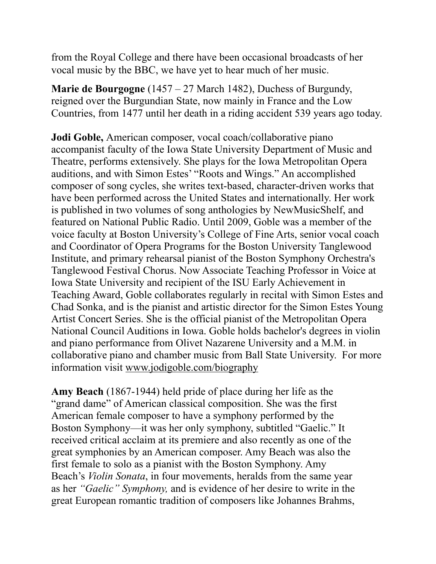from the Royal College and there have been occasional broadcasts of her vocal music by the BBC, we have yet to hear much of her music.

**Marie de Bourgogne** (1457 – 27 March 1482), Duchess of Burgundy, reigned over the Burgundian State, now mainly in France and the Low Countries, from 1477 until her death in a riding accident 539 years ago today.

**Jodi Goble,** American composer, vocal coach/collaborative piano accompanist faculty of the Iowa State University Department of Music and Theatre, performs extensively. She plays for the Iowa Metropolitan Opera auditions, and with Simon Estes' "Roots and Wings." An accomplished composer of song cycles, she writes text-based, character-driven works that have been performed across the United States and internationally. Her work is published in two volumes of song anthologies by NewMusicShelf, and featured on National Public Radio. Until 2009, Goble was a member of the voice faculty at Boston University's College of Fine Arts, senior vocal coach and Coordinator of Opera Programs for the Boston University Tanglewood Institute, and primary rehearsal pianist of the Boston Symphony Orchestra's Tanglewood Festival Chorus. Now Associate Teaching Professor in Voice at Iowa State University and recipient of the ISU Early Achievement in Teaching Award, Goble collaborates regularly in recital with Simon Estes and Chad Sonka, and is the pianist and artistic director for the Simon Estes Young Artist Concert Series. She is the official pianist of the Metropolitan Opera National Council Auditions in Iowa. Goble holds bachelor's degrees in violin and piano performance from Olivet Nazarene University and a M.M. in collaborative piano and chamber music from Ball State University. For more information visit [www.jodigoble.com/biography](http://www.jodigoble.com/biography)

**Amy Beach** (1867-1944) held pride of place during her life as the "grand dame" of American classical composition. She was the first American female composer to have a symphony performed by the Boston Symphony—it was her only symphony, subtitled "Gaelic." It received critical acclaim at its premiere and also recently as one of the great symphonies by an American composer. Amy Beach was also the first female to solo as a pianist with the Boston Symphony. Amy Beach's *Violin Sonata*, in four movements, heralds from the same year as her *"Gaelic" Symphony,* and is evidence of her desire to write in the great European romantic tradition of composers like Johannes Brahms,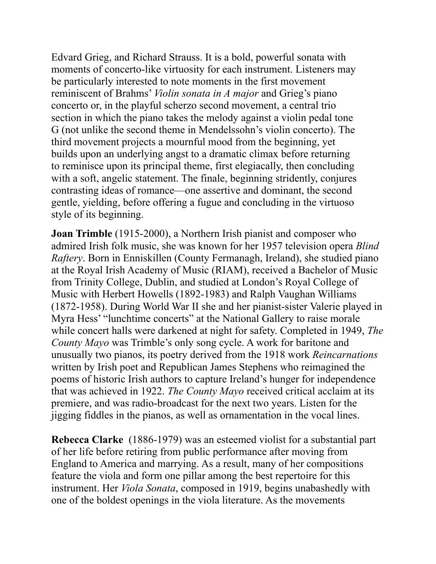Edvard Grieg, and Richard Strauss. It is a bold, powerful sonata with moments of concerto-like virtuosity for each instrument. Listeners may be particularly interested to note moments in the first movement reminiscent of Brahms' *Violin sonata in A major* and Grieg's piano concerto or, in the playful scherzo second movement, a central trio section in which the piano takes the melody against a violin pedal tone G (not unlike the second theme in Mendelssohn's violin concerto). The third movement projects a mournful mood from the beginning, yet builds upon an underlying angst to a dramatic climax before returning to reminisce upon its principal theme, first elegiacally, then concluding with a soft, angelic statement. The finale, beginning stridently, conjures contrasting ideas of romance—one assertive and dominant, the second gentle, yielding, before offering a fugue and concluding in the virtuoso style of its beginning.

**Joan Trimble** (1915-2000), a Northern Irish pianist and composer who admired Irish folk music, she was known for her 1957 television opera *Blind Raftery*. Born in Enniskillen (County Fermanagh, Ireland), she studied piano at the Royal Irish Academy of Music (RIAM), received a Bachelor of Music from Trinity College, Dublin, and studied at London's Royal College of Music with Herbert Howells (1892-1983) and Ralph Vaughan Williams (1872-1958). During World War II she and her pianist-sister Valerie played in Myra Hess' "lunchtime concerts" at the National Gallery to raise morale while concert halls were darkened at night for safety. Completed in 1949, *The County Mayo* was Trimble's only song cycle. A work for baritone and unusually two pianos, its poetry derived from the 1918 work *Reincarnations*  written by Irish poet and Republican James Stephens who reimagined the poems of historic Irish authors to capture Ireland's hunger for independence that was achieved in 1922. *The County Mayo* received critical acclaim at its premiere, and was radio-broadcast for the next two years. Listen for the jigging fiddles in the pianos, as well as ornamentation in the vocal lines.

**Rebecca Clarke** (1886-1979) was an esteemed violist for a substantial part of her life before retiring from public performance after moving from England to America and marrying. As a result, many of her compositions feature the viola and form one pillar among the best repertoire for this instrument. Her *Viola Sonata*, composed in 1919, begins unabashedly with one of the boldest openings in the viola literature. As the movements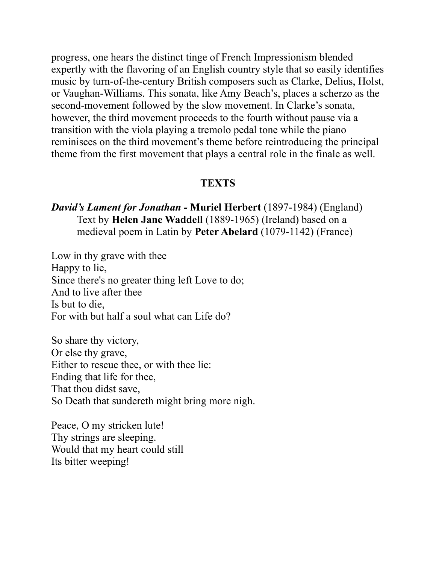progress, one hears the distinct tinge of French Impressionism blended expertly with the flavoring of an English country style that so easily identifies music by turn-of-the-century British composers such as Clarke, Delius, Holst, or Vaughan-Williams. This sonata, like Amy Beach's, places a scherzo as the second-movement followed by the slow movement. In Clarke's sonata, however, the third movement proceeds to the fourth without pause via a transition with the viola playing a tremolo pedal tone while the piano reminisces on the third movement's theme before reintroducing the principal theme from the first movement that plays a central role in the finale as well.

### **TEXTS**

### *David's Lament for Jonathan -* **Muriel Herbert** (1897-1984) (England) Text by **Helen Jane Waddell** (1889-1965) (Ireland) based on a medieval poem in Latin by **Peter Abelard** (1079-1142) (France)

Low in thy grave with thee Happy to lie, Since there's no greater thing left Love to do; And to live after thee Is but to die, For with but half a soul what can Life do?

So share thy victory, Or else thy grave, Either to rescue thee, or with thee lie: Ending that life for thee, That thou didst save, So Death that sundereth might bring more nigh.

Peace, O my stricken lute! Thy strings are sleeping. Would that my heart could still Its bitter weeping!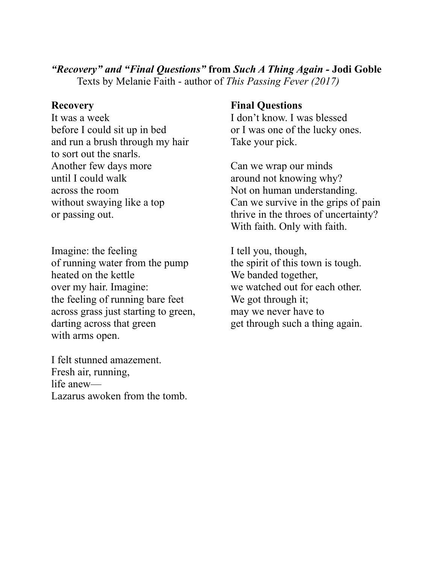# *"Recovery" and "Final Questions"* **from** *Such A Thing Again -* **Jodi Goble**

Texts by Melanie Faith - author of *This Passing Fever (2017)*

It was a week I don't know. I was blessed before I could sit up in bed or I was one of the lucky ones. and run a brush through my hair Take your pick. to sort out the snarls. Another few days more Can we wrap our minds until I could walk around not knowing why? across the room Not on human understanding.

Imagine: the feeling I tell you, though, of running water from the pump the spirit of this town is tough. heated on the kettle We banded together, over my hair. Imagine: we watched out for each other. the feeling of running bare feet We got through it; across grass just starting to green, may we never have to darting across that green get through such a thing again. with arms open.

I felt stunned amazement. Fresh air, running, life anew— Lazarus awoken from the tomb.

## **Recovery Final Questions**

without swaying like a top Can we survive in the grips of pain or passing out. the throes of uncertainty? With faith. Only with faith.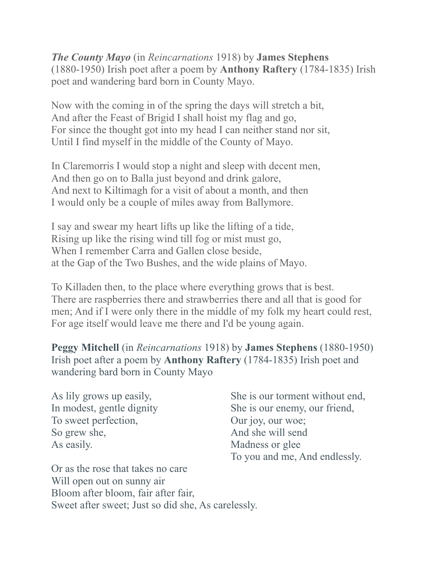*The County Mayo* (in *Reincarnations* 1918) by **James Stephens** (1880-1950) Irish poet after a poem by **Anthony Raftery** (1784-1835) Irish poet and wandering bard born in County Mayo.

Now with the coming in of the spring the days will stretch a bit, And after the Feast of Brigid I shall hoist my flag and go, For since the thought got into my head I can neither stand nor sit, Until I find myself in the middle of the County of Mayo.

In Claremorris I would stop a night and sleep with decent men, And then go on to Balla just beyond and drink galore, And next to Kiltimagh for a visit of about a month, and then I would only be a couple of miles away from Ballymore.

I say and swear my heart lifts up like the lifting of a tide, Rising up like the rising wind till fog or mist must go, When I remember Carra and Gallen close beside, at the Gap of the Two Bushes, and the wide plains of Mayo.

To Killaden then, to the place where everything grows that is best. There are raspberries there and strawberries there and all that is good for men; And if I were only there in the middle of my folk my heart could rest, For age itself would leave me there and I'd be young again.

**Peggy Mitchell** (in *Reincarnations* 1918) by **James Stephens** (1880-1950) Irish poet after a poem by **Anthony Raftery** (1784-1835) Irish poet and wandering bard born in County Mayo

To sweet perfection, Our joy, our woe; So grew she, And she will send As easily. Madness or glee

As lily grows up easily, She is our torment without end, In modest, gentle dignity She is our enemy, our friend, To you and me, And endlessly.

Or as the rose that takes no care Will open out on sunny air Bloom after bloom, fair after fair, Sweet after sweet; Just so did she, As carelessly.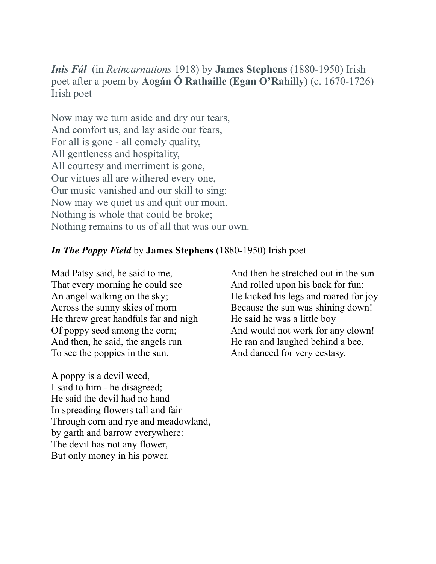*Inis Fál* (in *Reincarnations* 1918) by **James Stephens** (1880-1950) Irish poet after a poem by **Aogán Ó Rathaille (Egan O'Rahilly)** (c. 1670-1726) Irish poet

Now may we turn aside and dry our tears, And comfort us, and lay aside our fears, For all is gone - all comely quality, All gentleness and hospitality, All courtesy and merriment is gone, Our virtues all are withered every one, Our music vanished and our skill to sing: Now may we quiet us and quit our moan. Nothing is whole that could be broke; Nothing remains to us of all that was our own.

### *In The Poppy Field* by **James Stephens** (1880-1950) Irish poet

Mad Patsy said, he said to me, And then he stretched out in the sun That every morning he could see And rolled upon his back for fun: Across the sunny skies of morn Because the sun was shining down! He threw great handfuls far and nigh He said he was a little boy Of poppy seed among the corn; And would not work for any clown! And then, he said, the angels run He ran and laughed behind a bee, To see the poppies in the sun. And danced for very ecstasy.

A poppy is a devil weed, I said to him - he disagreed; He said the devil had no hand In spreading flowers tall and fair Through corn and rye and meadowland, by garth and barrow everywhere: The devil has not any flower, But only money in his power.

An angel walking on the sky; He kicked his legs and roared for joy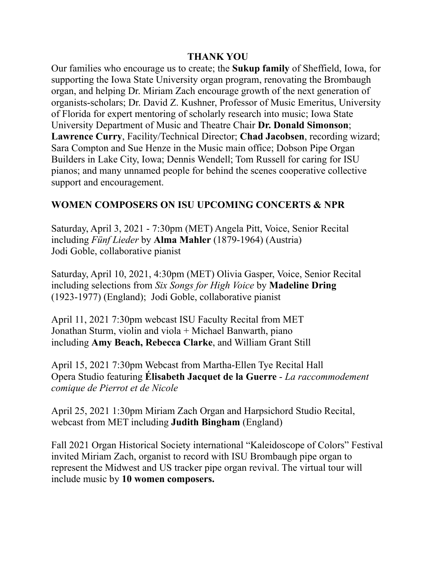### **THANK YOU**

Our families who encourage us to create; the **Sukup family** of Sheffield, Iowa, for supporting the Iowa State University organ program, renovating the Brombaugh organ, and helping Dr. Miriam Zach encourage growth of the next generation of organists-scholars; Dr. David Z. Kushner, Professor of Music Emeritus, University of Florida for expert mentoring of scholarly research into music; Iowa State University Department of Music and Theatre Chair **Dr. Donald Simonson**; **Lawrence Curry**, Facility/Technical Director; **Chad Jacobsen**, recording wizard; Sara Compton and Sue Henze in the Music main office; Dobson Pipe Organ Builders in Lake City, Iowa; Dennis Wendell; Tom Russell for caring for ISU pianos; and many unnamed people for behind the scenes cooperative collective support and encouragement.

### **WOMEN COMPOSERS ON ISU UPCOMING CONCERTS & NPR**

Saturday, April 3, 2021 - 7:30pm (MET) Angela Pitt, Voice, Senior Recital including *Fünf Lieder* by **Alma Mahler** (1879-1964) (Austria) Jodi Goble, collaborative pianist

Saturday, April 10, 2021, 4:30pm (MET) Olivia Gasper, Voice, Senior Recital including selections from *Six Songs for High Voice* by **Madeline Dring**  (1923-1977) (England); Jodi Goble, collaborative pianist

April 11, 2021 7:30pm webcast ISU Faculty Recital from MET Jonathan Sturm, violin and viola + Michael Banwarth, piano including **Amy Beach, Rebecca Clarke**, and William Grant Still

April 15, 2021 7:30pm [Webcast from Martha-Ellen Tye Recital Hall](https://www.music.iastate.edu/video/recital-hall-webcast) Opera Studio featuring **Élisabeth Jacquet de la Guerre** - *La raccommodement comique de Pierrot et de Nicole*

April 25, 2021 1:30pm Miriam Zach Organ and Harpsichord Studio Recital, webcast from MET including **Judith Bingham** (England)

Fall 2021 Organ Historical Society international "Kaleidoscope of Colors" Festival invited Miriam Zach, organist to record with ISU Brombaugh pipe organ to represent the Midwest and US tracker pipe organ revival. The virtual tour will include music by **10 women composers.**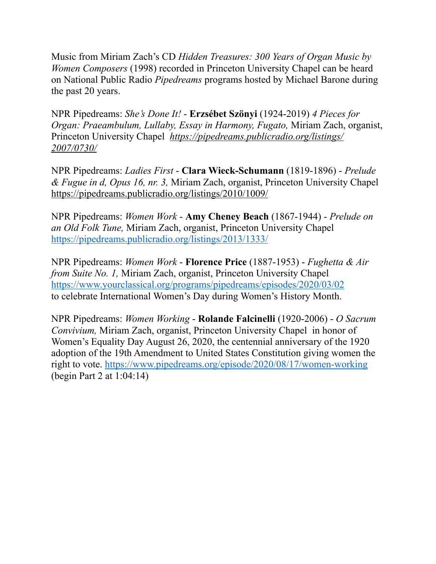Music from Miriam Zach's CD *Hidden Treasures: 300 Years of Organ Music by Women Composers* (1998) recorded in Princeton University Chapel can be heard on National Public Radio *Pipedreams* programs hosted by Michael Barone during the past 20 years.

NPR Pipedreams: *She's Done It!* - **Erzsébet Szönyi** (1924-2019) *4 Pieces for Organ: Praeambulum, Lullaby, Essay in Harmony, Fugato,* Miriam Zach, organist, Princeton University Chapel *[https://pipedreams.publicradio.org/listings/](https://pipedreams.publicradio.org/listings/2007/0730/) [2007/0730/](https://pipedreams.publicradio.org/listings/2007/0730/)*

NPR Pipedreams: *Ladies First* - **Clara Wieck-Schumann** (1819-1896) - *Prelude & Fugue in d, Opus 16, nr. 3,* Miriam Zach, organist, Princeton University Chapel <https://pipedreams.publicradio.org/listings/2010/1009/>

NPR Pipedreams: *Women Work* - **Amy Cheney Beach** (1867-1944) - *Prelude on an Old Folk Tune,* Miriam Zach, organist, Princeton University Chapel <https://pipedreams.publicradio.org/listings/2013/1333/>

NPR Pipedreams: *Women Work* - **Florence Price** (1887-1953) - *Fughetta & Air from Suite No. 1,* Miriam Zach, organist, Princeton University Chapel <https://www.yourclassical.org/programs/pipedreams/episodes/2020/03/02> to celebrate International Women's Day during Women's History Month.

NPR Pipedreams: *Women Working* - **Rolande Falcinelli** (1920-2006) - *O Sacrum Convivium,* Miriam Zach, organist, Princeton University Chapel in honor of Women's Equality Day August 26, 2020, the centennial anniversary of the 1920 adoption of the 19th Amendment to United States Constitution giving women the right to vote.<https://www.pipedreams.org/episode/2020/08/17/women-working> (begin Part 2 at 1:04:14)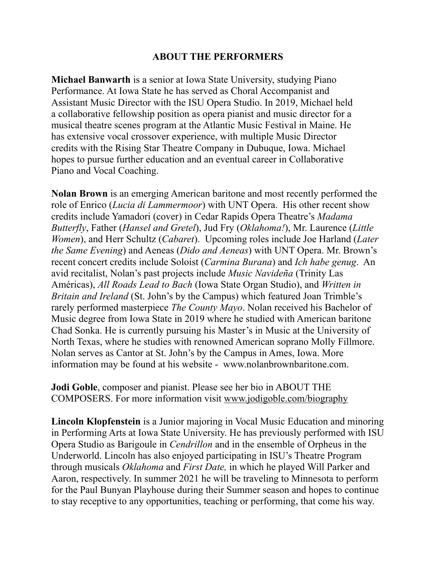### **ABOUT THE PERFORMERS**

**Michael Banwarth** is a senior at Iowa State University, studying Piano Performance. At Iowa State he has served as Choral Accompanist and Assistant Music Director with the ISU Opera Studio. In 2019, Michael held a collaborative fellowship position as opera pianist and music director for a musical theatre scenes program at the Atlantic Music Festival in Maine. He has extensive vocal crossover experience, with multiple Music Director credits with the Rising Star Theatre Company in Dubuque, Iowa. Michael hopes to pursue further education and an eventual career in Collaborative Piano and Vocal Coaching.

**Nolan Brown** is an emerging American baritone and most recently performed the role of Enrico (*Lucia di Lammermoor*) with UNT Opera. His other recent show credits include Yamadori (cover) in Cedar Rapids Opera Theatre's *Madama Butterfly*, Father (*Hansel and Gretel*), Jud Fry (*Oklahoma!*), Mr. Laurence (*Little Women*), and Herr Schultz (*Cabaret*). Upcoming roles include Joe Harland (*Later the Same Evening*) and Aeneas (*Dido and Aeneas*) with UNT Opera. Mr. Brown's recent concert credits include Soloist (*Carmina Burana*) and *Ich habe genug*. An avid recitalist, Nolan's past projects include *Music Navideña* (Trinity Las Américas), *All Roads Lead to Bach* (Iowa State Organ Studio), and *Written in Britain and Ireland* (St. John's by the Campus) which featured Joan Trimble's rarely performed masterpiece *The County Mayo*. Nolan received his Bachelor of Music degree from Iowa State in 2019 where he studied with American baritone Chad Sonka. He is currently pursuing his Master's in Music at the University of North Texas, where he studies with renowned American soprano Molly Fillmore. Nolan serves as Cantor at St. John's by the Campus in Ames, Iowa. More information may be found at his website - www.nolanbrownbaritone.com.

**Jodi Goble**, composer and pianist. Please see her bio in ABOUT THE COMPOSERS. For more information visit [www.jodigoble.com/biography](http://www.jodigoble.com/biography)

**Lincoln Klopfenstein** is a Junior majoring in Vocal Music Education and minoring in Performing Arts at Iowa State University. He has previously performed with ISU Opera Studio as Barigoule in *Cendrillon* and in the ensemble of Orpheus in the Underworld. Lincoln has also enjoyed participating in ISU's Theatre Program through musicals *Oklahoma* and *First Date,* in which he played Will Parker and Aaron, respectively. In summer 2021 he will be traveling to Minnesota to perform for the Paul Bunyan Playhouse during their Summer season and hopes to continue to stay receptive to any opportunities, teaching or performing, that come his way.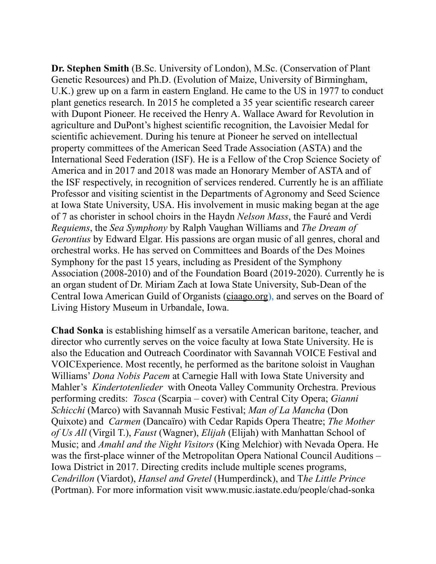**Dr. Stephen Smith** (B.Sc. University of London), M.Sc. (Conservation of Plant Genetic Resources) and Ph.D. (Evolution of Maize, University of Birmingham, U.K.) grew up on a farm in eastern England. He came to the US in 1977 to conduct plant genetics research. In 2015 he completed a 35 year scientific research career with Dupont Pioneer. He received the Henry A. Wallace Award for Revolution in agriculture and DuPont's highest scientific recognition, the Lavoisier Medal for scientific achievement. During his tenure at Pioneer he served on intellectual property committees of the American Seed Trade Association (ASTA) and the International Seed Federation (ISF). He is a Fellow of the Crop Science Society of America and in 2017 and 2018 was made an Honorary Member of ASTA and of the ISF respectively, in recognition of services rendered. Currently he is an affiliate Professor and visiting scientist in the Departments of Agronomy and Seed Science at Iowa State University, USA. His involvement in music making began at the age of 7 as chorister in school choirs in the Haydn *Nelson Mass*, the Fauré and Verdi *Requiems*, the *Sea Symphony* by Ralph Vaughan Williams and *The Dream of Gerontius* by Edward Elgar. His passions are organ music of all genres, choral and orchestral works. He has served on Committees and Boards of the Des Moines Symphony for the past 15 years, including as President of the Symphony Association (2008-2010) and of the Foundation Board (2019-2020). Currently he is an organ student of Dr. Miriam Zach at Iowa State University, Sub-Dean of the Central Iowa American Guild of Organists [\(ciaago.org\)](http://ciaago.org), and serves on the Board of Living History Museum in Urbandale, Iowa.

**Chad Sonka** is establishing himself as a versatile American baritone, teacher, and director who currently serves on the voice faculty at Iowa State University. He is also the Education and Outreach Coordinator with Savannah VOICE Festival and VOICExperience. Most recently, he performed as the baritone soloist in Vaughan Williams' *Dona Nobis Pacem* at Carnegie Hall with Iowa State University and Mahler's *Kindertotenlieder* with Oneota Valley Community Orchestra. Previous performing credits: *Tosca* (Scarpia – cover) with Central City Opera; *Gianni Schicchi* (Marco) with Savannah Music Festival; *Man of La Mancha* (Don Quixote) and *Carmen* (Dancaïro) with Cedar Rapids Opera Theatre; *The Mother of Us All* (Virgil T.), *Faust* (Wagner), *Elijah* (Elijah) with Manhattan School of Music; and *Amahl and the Night Visitors* (King Melchior) with Nevada Opera. He was the first-place winner of the Metropolitan Opera National Council Auditions – Iowa District in 2017. Directing credits include multiple scenes programs, *Cendrillon* (Viardot), *Hansel and Gretel* (Humperdinck), and T*he Little Prince* (Portman). For more information visit www.music.iastate.edu/people/chad-sonka